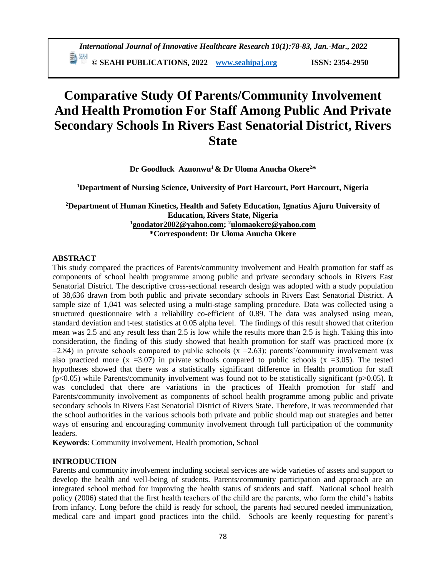**© SEAHI PUBLICATIONS, 2022 [www.seahipaj.org](http://www.seahipaj.org/) ISSN: 2354-2950**

# **Comparative Study Of Parents/Community Involvement And Health Promotion For Staff Among Public And Private Secondary Schools In Rivers East Senatorial District, Rivers State**

**Dr Goodluck Azuonwu<sup>1</sup> & Dr Uloma Anucha Okere<sup>2</sup>\***

**<sup>1</sup>Department of Nursing Science, University of Port Harcourt, Port Harcourt, Nigeria**

## **<sup>2</sup>Department of Human Kinetics, Health and Safety Education, Ignatius Ajuru University of Education, Rivers State, Nigeria <sup>1</sup>[goodator2002@yahoo.com;](mailto:goodator2002@yahoo.com) <sup>2</sup>[ulomaokere@yahoo.com](mailto:ulomaokere@yahoo.com) \*Correspondent: Dr Uloma Anucha Okere**

# **ABSTRACT**

This study compared the practices of Parents/community involvement and Health promotion for staff as components of school health programme among public and private secondary schools in Rivers East Senatorial District. The descriptive cross-sectional research design was adopted with a study population of 38,636 drawn from both public and private secondary schools in Rivers East Senatorial District. A sample size of 1,041 was selected using a multi-stage sampling procedure. Data was collected using a structured questionnaire with a reliability co-efficient of 0.89. The data was analysed using mean, standard deviation and t-test statistics at 0.05 alpha level. The findings of this result showed that criterion mean was 2.5 and any result less than 2.5 is low while the results more than 2.5 is high. Taking this into consideration, the finding of this study showed that health promotion for staff was practiced more (x  $=$  2.84) in private schools compared to public schools (x  $=$  2.63); parents'/community involvement was also practiced more  $(x = 3.07)$  in private schools compared to public schools  $(x = 3.05)$ . The tested hypotheses showed that there was a statistically significant difference in Health promotion for staff  $(p<0.05)$  while Parents/community involvement was found not to be statistically significant ( $p>0.05$ ). It was concluded that there are variations in the practices of Health promotion for staff and Parents/community involvement as components of school health programme among public and private secondary schools in Rivers East Senatorial District of Rivers State. Therefore, it was recommended that the school authorities in the various schools both private and public should map out strategies and better ways of ensuring and encouraging community involvement through full participation of the community leaders.

**Keywords**: Community involvement, Health promotion, School

# **INTRODUCTION**

Parents and community involvement including societal services are wide varieties of assets and support to develop the health and well-being of students. Parents/community participation and approach are an integrated school method for improving the health status of students and staff. National school health policy (2006) stated that the first health teachers of the child are the parents, who form the child's habits from infancy. Long before the child is ready for school, the parents had secured needed immunization, medical care and impart good practices into the child. Schools are keenly requesting for parent's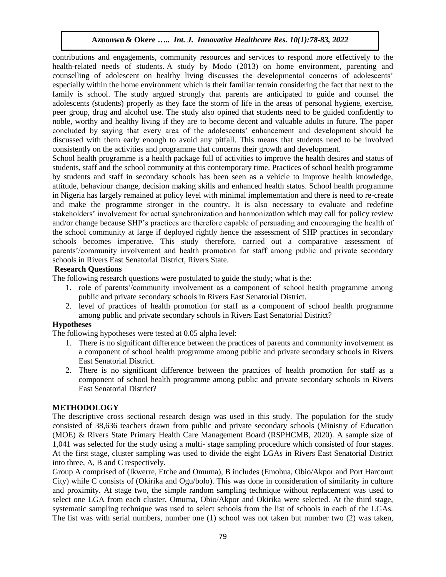contributions and engagements, community resources and services to respond more effectively to the health-related needs of students. A study by Modo (2013) on home environment, parenting and counselling of adolescent on healthy living discusses the developmental concerns of adolescents' especially within the home environment which is their familiar terrain considering the fact that next to the family is school. The study argued strongly that parents are anticipated to guide and counsel the adolescents (students) properly as they face the storm of life in the areas of personal hygiene, exercise, peer group, drug and alcohol use. The study also opined that students need to be guided confidently to noble, worthy and healthy living if they are to become decent and valuable adults in future. The paper concluded by saying that every area of the adolescents' enhancement and development should be discussed with them early enough to avoid any pitfall. This means that students need to be involved consistently on the activities and programme that concerns their growth and development.

School health programme is a health package full of activities to improve the health desires and status of students, staff and the school community at this contemporary time. Practices of school health programme by students and staff in secondary schools has been seen as a vehicle to improve health knowledge, attitude, behaviour change, decision making skills and enhanced health status. School health programme in Nigeria has largely remained at policy level with minimal implementation and there is need to re-create and make the programme stronger in the country. It is also necessary to evaluate and redefine stakeholders' involvement for actual synchronization and harmonization which may call for policy review and/or change because SHP's practices are therefore capable of persuading and encouraging the health of the school community at large if deployed rightly hence the assessment of SHP practices in secondary schools becomes imperative. This study therefore, carried out a comparative assessment of parents'/community involvement and health promotion for staff among public and private secondary schools in Rivers East Senatorial District, Rivers State.

## **Research Questions**

The following research questions were postulated to guide the study; what is the:

- 1. role of parents'/community involvement as a component of school health programme among public and private secondary schools in Rivers East Senatorial District.
- 2. level of practices of health promotion for staff as a component of school health programme among public and private secondary schools in Rivers East Senatorial District?

# **Hypotheses**

The following hypotheses were tested at 0.05 alpha level:

- 1. There is no significant difference between the practices of parents and community involvement as a component of school health programme among public and private secondary schools in Rivers East Senatorial District.
- 2. There is no significant difference between the practices of health promotion for staff as a component of school health programme among public and private secondary schools in Rivers East Senatorial District?

## **METHODOLOGY**

The descriptive cross sectional research design was used in this study. The population for the study consisted of 38,636 teachers drawn from public and private secondary schools (Ministry of Education (MOE) & Rivers State Primary Health Care Management Board (RSPHCMB, 2020). A sample size of 1,041 was selected for the study using a multi- stage sampling procedure which consisted of four stages. At the first stage, cluster sampling was used to divide the eight LGAs in Rivers East Senatorial District into three, A, B and C respectively.

Group A comprised of (Ikwerre, Etche and Omuma), B includes (Emohua, Obio/Akpor and Port Harcourt City) while C consists of (Okirika and Ogu/bolo). This was done in consideration of similarity in culture and proximity. At stage two, the simple random sampling technique without replacement was used to select one LGA from each cluster, Omuma, Obio/Akpor and Okirika were selected. At the third stage, systematic sampling technique was used to select schools from the list of schools in each of the LGAs. The list was with serial numbers, number one (1) school was not taken but number two (2) was taken,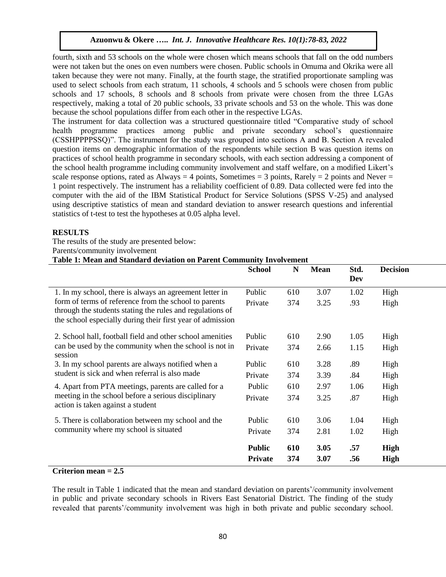fourth, sixth and 53 schools on the whole were chosen which means schools that fall on the odd numbers were not taken but the ones on even numbers were chosen. Public schools in Omuma and Okrika were all taken because they were not many. Finally, at the fourth stage, the stratified proportionate sampling was used to select schools from each stratum, 11 schools, 4 schools and 5 schools were chosen from public schools and 17 schools, 8 schools and 8 schools from private were chosen from the three LGAs respectively, making a total of 20 public schools, 33 private schools and 53 on the whole. This was done because the school populations differ from each other in the respective LGAs.

The instrument for data collection was a structured questionnaire titled "Comparative study of school health programme practices among public and private secondary school's questionnaire (CSSHPPPPSSQ)". The instrument for the study was grouped into sections A and B. Section A revealed question items on demographic information of the respondents while section B was question items on practices of school health programme in secondary schools, with each section addressing a component of the school health programme including community involvement and staff welfare, on a modified Likert's scale response options, rated as Always = 4 points, Sometimes = 3 points, Rarely = 2 points and Never = 1 point respectively. The instrument has a reliability coefficient of 0.89. Data collected were fed into the computer with the aid of the IBM Statistical Product for Service Solutions (SPSS V-25) and analysed using descriptive statistics of mean and standard deviation to answer research questions and inferential statistics of t-test to test the hypotheses at 0.05 alpha level.

## **RESULTS**

The results of the study are presented below:

Parents/community involvement

## **Table 1: Mean and Standard deviation on Parent Community Involvement**

| <b>School</b>                   | N          | <b>Mean</b>  | Std.<br>Dev | <b>Decision</b>            |
|---------------------------------|------------|--------------|-------------|----------------------------|
| Public                          | 610        | 3.07         | 1.02        | High                       |
| Private                         | 374        | 3.25         | .93         | High                       |
| Public                          | 610        | 2.90         | 1.05        | High                       |
| Private                         | 374        | 2.66         | 1.15        | High                       |
| Public                          | 610        | 3.28         | .89         | High                       |
| Private                         | 374        | 3.39         | .84         | High                       |
| Public                          | 610        | 2.97         | 1.06        | High                       |
| Private                         | 374        | 3.25         | .87         | High                       |
| Public                          | 610        | 3.06         | 1.04        | High                       |
| Private                         | 374        | 2.81         | 1.02        | High                       |
| <b>Public</b><br><b>Private</b> | 610<br>374 | 3.05<br>3.07 | .57<br>.56  | <b>High</b><br><b>High</b> |
|                                 |            |              |             |                            |

# **Criterion mean = 2.5**

The result in Table 1 indicated that the mean and standard deviation on parents'/community involvement in public and private secondary schools in Rivers East Senatorial District. The finding of the study revealed that parents'/community involvement was high in both private and public secondary school.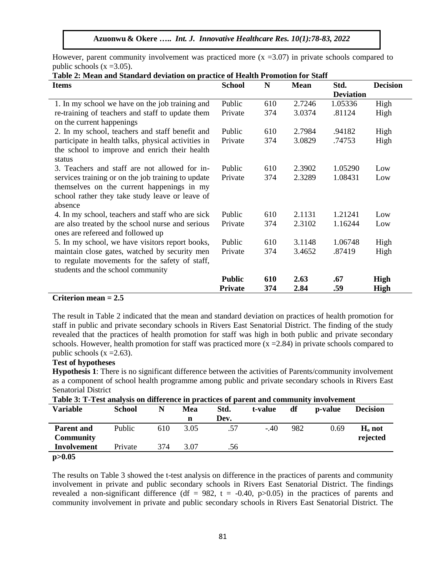However, parent community involvement was practiced more  $(x = 3.07)$  in private schools compared to public schools  $(x = 3.05)$ .

| Table 2. Mean and Standard deviation on practice or freature i comotion for Staff<br><b>Items</b>                                                              | <b>School</b>  | N   | <b>Mean</b> | Std.             | <b>Decision</b> |  |  |
|----------------------------------------------------------------------------------------------------------------------------------------------------------------|----------------|-----|-------------|------------------|-----------------|--|--|
|                                                                                                                                                                |                |     |             | <b>Deviation</b> |                 |  |  |
| 1. In my school we have on the job training and                                                                                                                | Public         | 610 | 2.7246      | 1.05336          | High            |  |  |
| re-training of teachers and staff to update them<br>on the current happenings                                                                                  | Private        | 374 | 3.0374      | .81124           | High            |  |  |
| 2. In my school, teachers and staff benefit and                                                                                                                | Public         | 610 | 2.7984      | .94182           | High            |  |  |
| participate in health talks, physical activities in<br>the school to improve and enrich their health<br>status                                                 | Private        | 374 | 3.0829      | .74753           | High            |  |  |
| 3. Teachers and staff are not allowed for in-                                                                                                                  | Public         | 610 | 2.3902      | 1.05290          | Low             |  |  |
| services training or on the job training to update<br>themselves on the current happenings in my<br>school rather they take study leave or leave of<br>absence | Private        | 374 | 2.3289      | 1.08431          | Low             |  |  |
| 4. In my school, teachers and staff who are sick                                                                                                               | Public         | 610 | 2.1131      | 1.21241          | Low             |  |  |
| are also treated by the school nurse and serious<br>ones are refereed and followed up                                                                          | Private        | 374 | 2.3102      | 1.16244          | Low             |  |  |
| 5. In my school, we have visitors report books,                                                                                                                | Public         | 610 | 3.1148      | 1.06748          | High            |  |  |
| maintain close gates, watched by security men<br>to regulate movements for the safety of staff,<br>students and the school community                           | Private        | 374 | 3.4652      | .87419           | High            |  |  |
|                                                                                                                                                                | <b>Public</b>  | 610 | 2.63        | .67              | High            |  |  |
|                                                                                                                                                                | <b>Private</b> | 374 | 2.84        | .59              | <b>High</b>     |  |  |

#### **Table 2: Mean and Standard deviation on practice of Health Promotion for Staff**

### **Criterion mean = 2.5**

The result in Table 2 indicated that the mean and standard deviation on practices of health promotion for staff in public and private secondary schools in Rivers East Senatorial District. The finding of the study revealed that the practices of health promotion for staff was high in both public and private secondary schools. However, health promotion for staff was practiced more  $(x = 2.84)$  in private schools compared to public schools  $(x = 2.63)$ .

## **Test of hypotheses**

**Hypothesis 1**: There is no significant difference between the activities of Parents/community involvement as a component of school health programme among public and private secondary schools in Rivers East Senatorial District

| <b>Variable</b>   | <b>School</b> | N   | Mea  | Std. | t-value | df  | <b>p</b> -value | <b>Decision</b> |
|-------------------|---------------|-----|------|------|---------|-----|-----------------|-----------------|
|                   |               |     | n    | Dev. |         |     |                 |                 |
| <b>Parent and</b> | Public        | 610 | 3.05 | .57  | $-.40$  | 982 | 0.69            | $H_0$ not       |
| <b>Community</b>  |               |     |      |      |         |     |                 | rejected        |
| Involvement       | Private       | 374 | 3.07 | .56  |         |     |                 |                 |
| p > 0.05          |               |     |      |      |         |     |                 |                 |

**Table 3: T-Test analysis on difference in practices of parent and community involvement**

The results on Table 3 showed the t-test analysis on difference in the practices of parents and community involvement in private and public secondary schools in Rivers East Senatorial District. The findings revealed a non-significant difference (df = 982, t = -0.40, p $>0.05$ ) in the practices of parents and community involvement in private and public secondary schools in Rivers East Senatorial District. The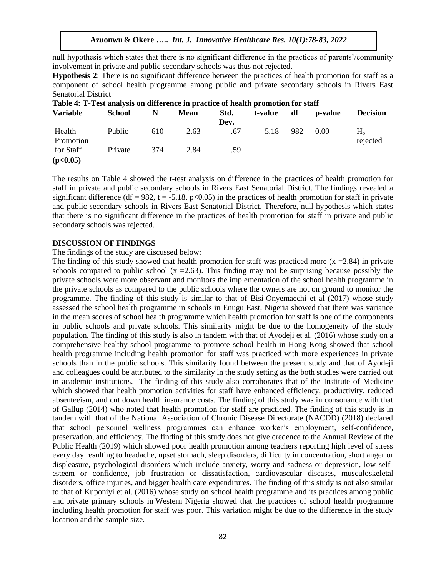null hypothesis which states that there is no significant difference in the practices of parents'/community involvement in private and public secondary schools was thus not rejected.

**Hypothesis 2**: There is no significant difference between the practices of health promotion for staff as a component of school health programme among public and private secondary schools in Rivers East Senatorial District

| Table 4. I Test and consumer and concern practice of health promotion for start |         |     |             |      |         |     |         |                 |  |
|---------------------------------------------------------------------------------|---------|-----|-------------|------|---------|-----|---------|-----------------|--|
| <b>Variable</b>                                                                 | School  |     | <b>Mean</b> | Std. | t-value | df  | p-value | <b>Decision</b> |  |
|                                                                                 |         |     |             | Dev. |         |     |         |                 |  |
| Health                                                                          | Public  | 610 | 2.63        | .67  | $-5.18$ | 982 | 0.00    | $\rm H_{o}$     |  |
| Promotion                                                                       |         |     |             |      |         |     |         | rejected        |  |
| for Staff                                                                       | Private | 374 | 2.84        | .59  |         |     |         |                 |  |
| (p<0.05)                                                                        |         |     |             |      |         |     |         |                 |  |

**Table 4: T-Test analysis on difference in practice of health promotion for staff**

The results on Table 4 showed the t-test analysis on difference in the practices of health promotion for staff in private and public secondary schools in Rivers East Senatorial District. The findings revealed a significant difference (df = 982, t = -5.18, p<0.05) in the practices of health promotion for staff in private and public secondary schools in Rivers East Senatorial District. Therefore, null hypothesis which states that there is no significant difference in the practices of health promotion for staff in private and public secondary schools was rejected.

#### **DISCUSSION OF FINDINGS**

#### The findings of the study are discussed below:

The finding of this study showed that health promotion for staff was practiced more  $(x = 2.84)$  in private schools compared to public school  $(x = 2.63)$ . This finding may not be surprising because possibly the private schools were more observant and monitors the implementation of the school health programme in the private schools as compared to the public schools where the owners are not on ground to monitor the programme. The finding of this study is similar to that of [Bisi-Onyemaechi](https://www.pagepressjournals.org/index.php/hls/article/view/6357/7075) et al (2017) whose study assessed the school health programme in schools in Enugu East, Nigeria showed that there was variance in the mean scores of school health programme which health promotion for staff is one of the components in public schools and private schools. This similarity might be due to the homogeneity of the study population. The finding of this study is also in tandem with that of Ayodeji et al. (2016) whose study on a comprehensive healthy school programme to promote school health in Hong Kong showed that school health programme including health promotion for staff was practiced with more experiences in private schools than in the public schools. This similarity found between the present study and that of Ayodeji and colleagues could be attributed to the similarity in the study setting as the both studies were carried out in academic institutions. The finding of this study also corroborates that of the Institute of Medicine which showed that health promotion activities for staff have enhanced efficiency, productivity, reduced absenteeism, and cut down health insurance costs. The finding of this study was in consonance with that of Gallup (2014) who noted that health promotion for staff are practiced. The finding of this study is in tandem with that of the National Association of Chronic Disease Directorate (NACDD) (2018) declared that school personnel wellness programmes can enhance worker's employment, self-confidence, preservation, and efficiency. The finding of this study does not give credence to the Annual Review of the Public Health (2019) which showed poor health promotion among teachers reporting high level of stress every day resulting to headache, upset stomach, sleep disorders, difficulty in concentration, short anger or displeasure, psychological disorders which include anxiety, worry and sadness or depression, low selfesteem or confidence, job frustration or dissatisfaction, cardiovascular diseases, musculoskeletal disorders, office injuries, and bigger health care expenditures. The finding of this study is not also similar to that of Kuponiyi et al. (2016) whose study on school health programme and its practices among public and private primary schools in Western Nigeria showed that the practices of school health programme including health promotion for staff was poor. This variation might be due to the difference in the study location and the sample size.